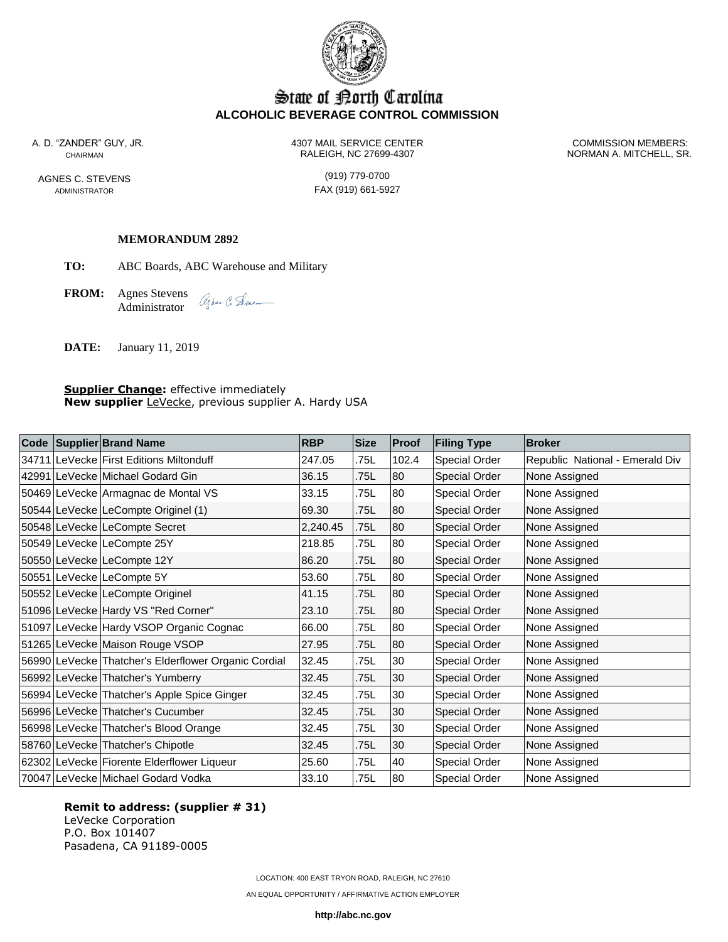

# State of Korth Carolina **ALCOHOLIC BEVERAGE CONTROL COMMISSION**

AGNES C. STEVENS (919) 779-0700

A. D. "ZANDER" GUY, JR. 4307 MAIL SERVICE CENTER COMMISSION MEMBERS: CHAIRMAN RALEIGH, NC 27699-4307 NORMAN A. MITCHELL, SR.

ADMINISTRATOR **FAX** (919) 661-5927

#### **MEMORANDUM 2892**

**TO:** ABC Boards, ABC Warehouse and Military

**FROM:** Agnes Stevens agher C. Sene\_ Administrator

**DATE:** January 11, 2019

#### **Supplier Change:** effective immediately **New supplier** LeVecke, previous supplier A. Hardy USA

|  | Code Supplier Brand Name                             | <b>RBP</b> | <b>Size</b> | Proof | <b>Filing Type</b> | <b>Broker</b>                   |
|--|------------------------------------------------------|------------|-------------|-------|--------------------|---------------------------------|
|  | 34711 LeVecke First Editions Miltonduff              | 247.05     | .75L        | 102.4 | Special Order      | Republic National - Emerald Div |
|  | 42991 LeVecke Michael Godard Gin                     | 36.15      | .75L        | 80    | Special Order      | None Assigned                   |
|  | 50469 LeVecke Armagnac de Montal VS                  | 33.15      | .75L        | 80    | Special Order      | None Assigned                   |
|  | 50544 LeVecke LeCompte Originel (1)                  | 69.30      | .75L        | 80    | Special Order      | None Assigned                   |
|  | 50548 LeVecke LeCompte Secret                        | 2,240.45   | .75L        | 80    | Special Order      | None Assigned                   |
|  | 50549 LeVecke LeCompte 25Y                           | 218.85     | .75L        | 80    | Special Order      | None Assigned                   |
|  | 50550 LeVecke LeCompte 12Y                           | 86.20      | .75L        | 80    | Special Order      | None Assigned                   |
|  | 50551 LeVecke LeCompte 5Y                            | 53.60      | .75L        | 80    | Special Order      | None Assigned                   |
|  | 50552 LeVecke LeCompte Originel                      | 41.15      | .75L        | 80    | Special Order      | None Assigned                   |
|  | 51096 LeVecke Hardy VS "Red Corner"                  | 23.10      | .75L        | 80    | Special Order      | None Assigned                   |
|  | 51097 LeVecke Hardy VSOP Organic Cognac              | 66.00      | .75L        | 80    | Special Order      | None Assigned                   |
|  | 51265 LeVecke Maison Rouge VSOP                      | 27.95      | .75L        | 80    | Special Order      | None Assigned                   |
|  | 56990 LeVecke Thatcher's Elderflower Organic Cordial | 32.45      | .75L        | 30    | Special Order      | None Assigned                   |
|  | 56992 LeVecke Thatcher's Yumberry                    | 32.45      | .75L        | 30    | Special Order      | None Assigned                   |
|  | 56994 LeVecke Thatcher's Apple Spice Ginger          | 32.45      | .75L        | 30    | Special Order      | None Assigned                   |
|  | 56996 LeVecke Thatcher's Cucumber                    | 32.45      | .75L        | 30    | Special Order      | None Assigned                   |
|  | 56998 LeVecke Thatcher's Blood Orange                | 32.45      | .75L        | 30    | Special Order      | None Assigned                   |
|  | 58760 LeVecke Thatcher's Chipotle                    | 32.45      | .75L        | 30    | Special Order      | None Assigned                   |
|  | 62302 LeVecke Fiorente Elderflower Liqueur           | 25.60      | .75L        | 40    | Special Order      | None Assigned                   |
|  | 70047 LeVecke Michael Godard Vodka                   | 33.10      | .75L        | 80    | Special Order      | None Assigned                   |

**Remit to address: (supplier # 31)** LeVecke Corporation P.O. Box 101407 Pasadena, CA 91189-0005

LOCATION: 400 EAST TRYON ROAD, RALEIGH, NC 27610

AN EQUAL OPPORTUNITY / AFFIRMATIVE ACTION EMPLOYER

**http://abc.nc.gov**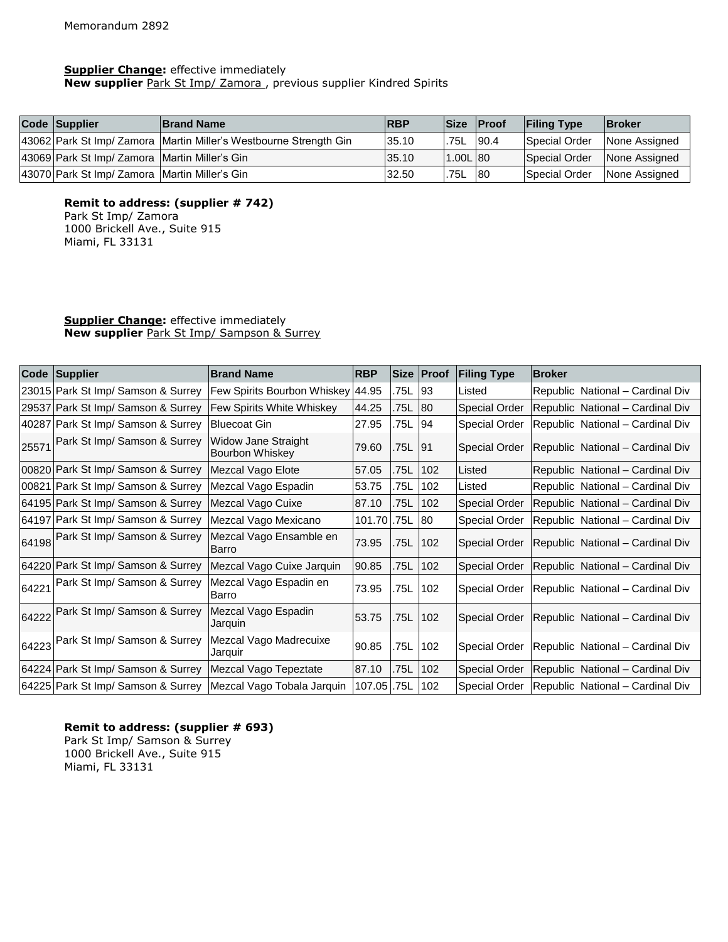#### **Supplier Change:** effective immediately

**New supplier** Park St Imp/ Zamora , previous supplier Kindred Spirits

| Code Supplier<br><b>Brand Name</b>            |                                                                     | <b>RBP</b> | <b>Size</b> | <b>IProof</b> | <b>Filing Type</b> | <b>Broker</b> |
|-----------------------------------------------|---------------------------------------------------------------------|------------|-------------|---------------|--------------------|---------------|
|                                               | 43062 Park St Imp/ Zamora   Martin Miller's Westbourne Strength Gin | 35.10      | 75L         | 90.4          | Special Order      | None Assigned |
| 43069 Park St Imp/ Zamora Martin Miller's Gin |                                                                     | 35.10      | 1.00L180    |               | Special Order      | None Assigned |
| 43070 Park St Imp/ Zamora Martin Miller's Gin |                                                                     | 32.50      | 75L         | 80            | Special Order      | None Assigned |

**Remit to address: (supplier # 742)** Park St Imp/ Zamora

1000 Brickell Ave., Suite 915 Miami, FL 33131

## **Supplier Change:** effective immediately **New supplier** Park St Imp/ Sampson & Surrey

|       | Code Supplier                        | <b>Brand Name</b>                                    | <b>RBP</b> |      | Size Proof   | <b>Filing Type</b>   | <b>Broker</b>                    |
|-------|--------------------------------------|------------------------------------------------------|------------|------|--------------|----------------------|----------------------------------|
|       | 23015 Park St Imp/ Samson & Surrey   | Few Spirits Bourbon Whiskey 44.95                    |            | .75L | 93           | Listed               | Republic National - Cardinal Div |
|       | 29537 Park St Imp/ Samson & Surrey   | Few Spirits White Whiskey                            | 44.25      | .75L | <b>80</b>    | <b>Special Order</b> | Republic National - Cardinal Div |
|       | 40287 Park St Imp/ Samson & Surrey   | <b>Bluecoat Gin</b>                                  | 27.95      | .75L | 94           | <b>Special Order</b> | Republic National - Cardinal Div |
| 25571 | Park St Imp/ Samson & Surrey         | <b>Widow Jane Straight</b><br><b>Bourbon Whiskey</b> | 79.60      | .75L | 91           | <b>Special Order</b> | Republic National - Cardinal Div |
|       | 00820 Park St Imp/ Samson & Surrey   | Mezcal Vago Elote                                    | 57.05      | .75L | 102          | Listed               | Republic National - Cardinal Div |
|       | 00821   Park St Imp/ Samson & Surrey | Mezcal Vago Espadin                                  | 53.75      | .75L | 102          | Listed               | Republic National - Cardinal Div |
|       | 64195 Park St Imp/ Samson & Surrey   | Mezcal Vago Cuixe                                    | 87.10      | .75L | 102          | <b>Special Order</b> | Republic National - Cardinal Div |
|       | 64197 Park St Imp/ Samson & Surrey   | Mezcal Vago Mexicano                                 | 101.70     | .75L | $ 80\rangle$ | <b>Special Order</b> | Republic National - Cardinal Div |
|       | 64198 Park St Imp/ Samson & Surrey   | Mezcal Vago Ensamble en<br>Barro                     | 73.95      | .75L | 102          | <b>Special Order</b> | Republic National - Cardinal Div |
|       | 64220 Park St Imp/ Samson & Surrey   | Mezcal Vago Cuixe Jarquin                            | 90.85      | .75L | 102          | <b>Special Order</b> | Republic National - Cardinal Div |
| 64221 | Park St Imp/ Samson & Surrey         | Mezcal Vago Espadin en<br>Barro                      | 73.95      | .75L | 102          | <b>Special Order</b> | Republic National - Cardinal Div |
|       | 64222 Park St Imp/ Samson & Surrey   | Mezcal Vago Espadin<br>Jarquin                       | 53.75      | .75L | 102          | <b>Special Order</b> | Republic National - Cardinal Div |
|       | 64223 Park St Imp/ Samson & Surrey   | Mezcal Vago Madrecuixe<br>Jarquir                    | 90.85      | .75L | 102          | <b>Special Order</b> | Republic National - Cardinal Div |
|       | 64224 Park St Imp/ Samson & Surrey   | Mezcal Vago Tepeztate                                | 87.10      | .75L | 102          | <b>Special Order</b> | Republic National - Cardinal Div |
|       | 64225 Park St Imp/ Samson & Surrey   | Mezcal Vago Tobala Jarguin   107.05   75L            |            |      | 102          | Special Order        | Republic National - Cardinal Div |

**Remit to address: (supplier # 693)** Park St Imp/ Samson & Surrey 1000 Brickell Ave., Suite 915 Miami, FL 33131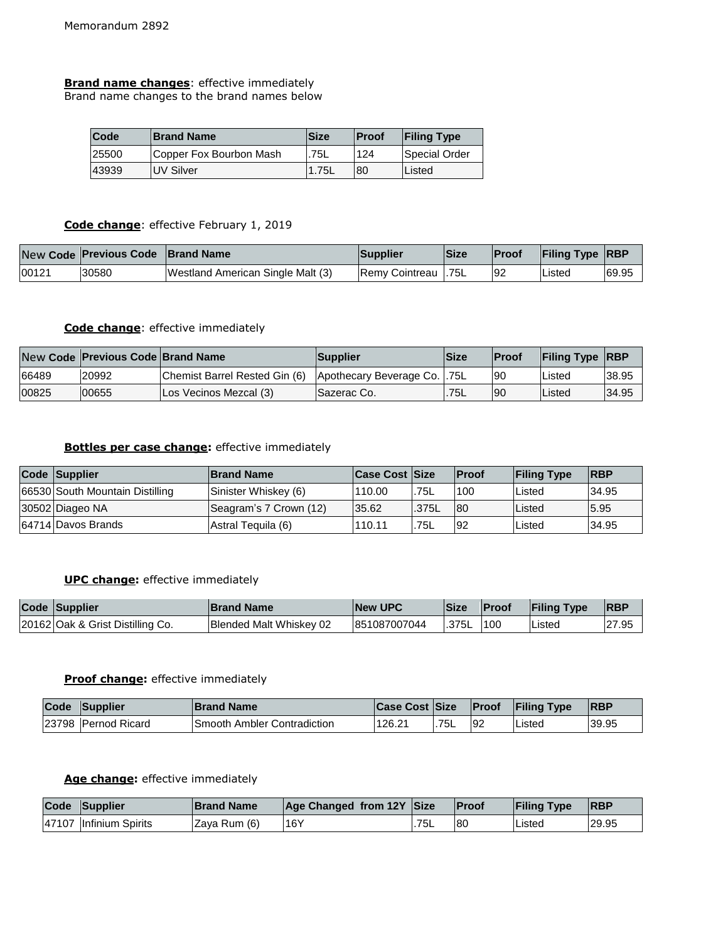**Brand name changes**: effective immediately Brand name changes to the brand names below

| <b>Code</b> | <b>Brand Name</b>       | Size  | <b>IProof</b> | <b>Filing Type</b> |
|-------------|-------------------------|-------|---------------|--------------------|
| 25500       | Copper Fox Bourbon Mash | 75L   | 124           | Special Order      |
| 43939       | <b>IUV Silver</b>       | 1.75L | 80            | Listed             |

# **Code change**: effective February 1, 2019

|       | New Code Previous Code   Brand Name |                                   | <b>Supplier</b>      | <b>Size</b> | Proof | <b>Filing Type RBP</b> |       |
|-------|-------------------------------------|-----------------------------------|----------------------|-------------|-------|------------------------|-------|
| 00121 | 30580                               | Westland American Single Malt (3) | Remy Cointreau 1.75L |             | 92    | Listed                 | 69.95 |

## **Code change**: effective immediately

|       | New Code Previous Code Brand Name |                                                             | Supplier            | <b>Size</b> | <b>IProof</b> | <b>Filing Type RBP</b> |       |
|-------|-----------------------------------|-------------------------------------------------------------|---------------------|-------------|---------------|------------------------|-------|
| 66489 | 20992                             | Chemist Barrel Rested Gin (6) Apothecary Beverage Co. 1.75L |                     |             | 90            | Listed                 | 38.95 |
| 00825 | 00655                             | Los Vecinos Mezcal (3)                                      | <b>ISazerac Co.</b> | .75L        | 90            | Listed                 | 34.95 |

## **Bottles per case change:** effective immediately

| Code Supplier                   | <b>Brand Name</b>      | <b>Case Cost Size</b> |       | <b>IProof</b> | <b>Filing Type</b> | <b>IRBP</b> |
|---------------------------------|------------------------|-----------------------|-------|---------------|--------------------|-------------|
| 66530 South Mountain Distilling | Sinister Whiskey (6)   | 110.00                | .75L  | 100           | Listed             | 34.95       |
| 30502 Diageo NA                 | Seagram's 7 Crown (12) | 35.62                 | .375L | -80           | Listed             | 5.95        |
| 64714 Davos Brands              | Astral Tequila (6)     | 110.11                | 75L   | -92           | Listed             | 34.95       |

## **UPC change:** effective immediately

| Code Supplier                    | <b>Brand Name</b>       | <b>INew UPC</b> | <b>Size</b> | <b>IProof</b> | <b>Filing Type</b> | <b>IRBP</b> |
|----------------------------------|-------------------------|-----------------|-------------|---------------|--------------------|-------------|
| 20162 Oak & Grist Distilling Co. | Blended Malt Whiskey 02 | 851087007044    | .375L       | 1100          | ∟isted             | 27.95       |

#### **Proof change:** effective immediately

| Code | Supplier             | <b>Brand Name</b>                   | <b>Case Cost Size</b> |     | Proof | <b>Filing Type</b> | <b>IRBP</b> |
|------|----------------------|-------------------------------------|-----------------------|-----|-------|--------------------|-------------|
|      | 123798 Pernod Ricard | <b>ISmooth Ambler Contradiction</b> | 126.21                | 75L | 92    | Listed             | 39.95       |

## **Age change:** effective immediately

| Code | Supplier                 | <b>Brand Name</b> | Age Changed from 12Y Size |      | Proof | <b>Filing Type</b> | <b>RBP</b> |
|------|--------------------------|-------------------|---------------------------|------|-------|--------------------|------------|
|      | 147107 Ilnfinium Spirits | IZava Rum (6)     | 16Y                       | .75L | l8C   | Listed             | 29.95      |